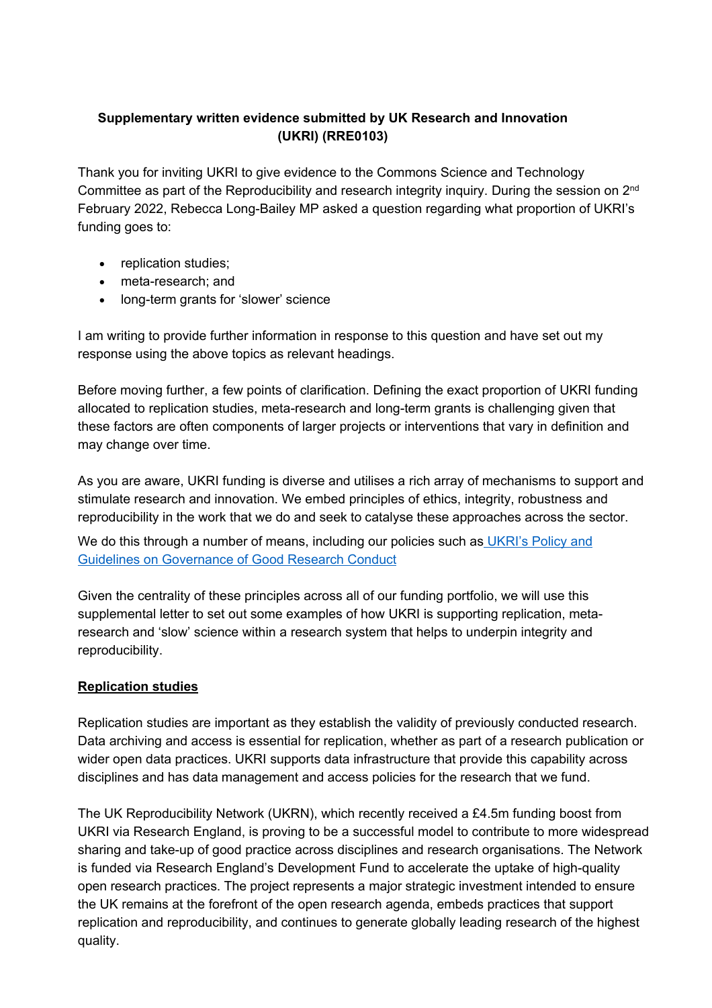## **Supplementary written evidence submitted by UK Research and Innovation (UKRI) (RRE0103)**

Thank you for inviting UKRI to give evidence to the Commons Science and Technology Committee as part of the Reproducibility and research integrity inquiry. During the session on 2<sup>nd</sup> February 2022, Rebecca Long-Bailey MP asked a question regarding what proportion of UKRI's funding goes to:

- replication studies;
- meta-research; and
- long-term grants for 'slower' science

I am writing to provide further information in response to this question and have set out my response using the above topics as relevant headings.

Before moving further, a few points of clarification. Defining the exact proportion of UKRI funding allocated to replication studies, meta-research and long-term grants is challenging given that these factors are often components of larger projects or interventions that vary in definition and may change over time.

As you are aware, UKRI funding is diverse and utilises a rich array of mechanisms to support and stimulate research and innovation. We embed principles of ethics, integrity, robustness and reproducibility in the work that we do and seek to catalyse these approaches across the sector.

We do thi[s](https://www.ukri.org/wp-content/uploads/2021/03/UKRI-050321-PolicyGuidelinesGovernanceOfGoodResearchConduct.pdf) through a number of means, including our policies such as [UKRI's](https://www.ukri.org/wp-content/uploads/2021/03/UKRI-050321-PolicyGuidelinesGovernanceOfGoodResearchConduct.pdf) [Policy](https://www.ukri.org/wp-content/uploads/2021/03/UKRI-050321-PolicyGuidelinesGovernanceOfGoodResearchConduct.pdf) [and](https://www.ukri.org/wp-content/uploads/2021/03/UKRI-050321-PolicyGuidelinesGovernanceOfGoodResearchConduct.pdf) [Guidelines](https://www.ukri.org/wp-content/uploads/2021/03/UKRI-050321-PolicyGuidelinesGovernanceOfGoodResearchConduct.pdf) [on](https://www.ukri.org/wp-content/uploads/2021/03/UKRI-050321-PolicyGuidelinesGovernanceOfGoodResearchConduct.pdf) [Governance](https://www.ukri.org/wp-content/uploads/2021/03/UKRI-050321-PolicyGuidelinesGovernanceOfGoodResearchConduct.pdf) [of](https://www.ukri.org/wp-content/uploads/2021/03/UKRI-050321-PolicyGuidelinesGovernanceOfGoodResearchConduct.pdf) [Good](https://www.ukri.org/wp-content/uploads/2021/03/UKRI-050321-PolicyGuidelinesGovernanceOfGoodResearchConduct.pdf) [Research](https://www.ukri.org/wp-content/uploads/2021/03/UKRI-050321-PolicyGuidelinesGovernanceOfGoodResearchConduct.pdf) [Conduct](https://www.ukri.org/wp-content/uploads/2021/03/UKRI-050321-PolicyGuidelinesGovernanceOfGoodResearchConduct.pdf)

Given the centrality of these principles across all of our funding portfolio, we will use this supplemental letter to set out some examples of how UKRI is supporting replication, metaresearch and 'slow' science within a research system that helps to underpin integrity and reproducibility.

## **Replication studies**

Replication studies are important as they establish the validity of previously conducted research. Data archiving and access is essential for replication, whether as part of a research publication or wider open data practices. UKRI supports data infrastructure that provide this capability across disciplines and has data management and access policies for the research that we fund.

The UK Reproducibility Network (UKRN), which recently received a £4.5m funding boost from UKRI via Research England, is proving to be a successful model to contribute to more widespread sharing and take-up of good practice across disciplines and research organisations. The Network is funded via Research England's Development Fund to accelerate the uptake of high-quality open research practices. The project represents a major strategic investment intended to ensure the UK remains at the forefront of the open research agenda, embeds practices that support replication and reproducibility, and continues to generate globally leading research of the highest quality.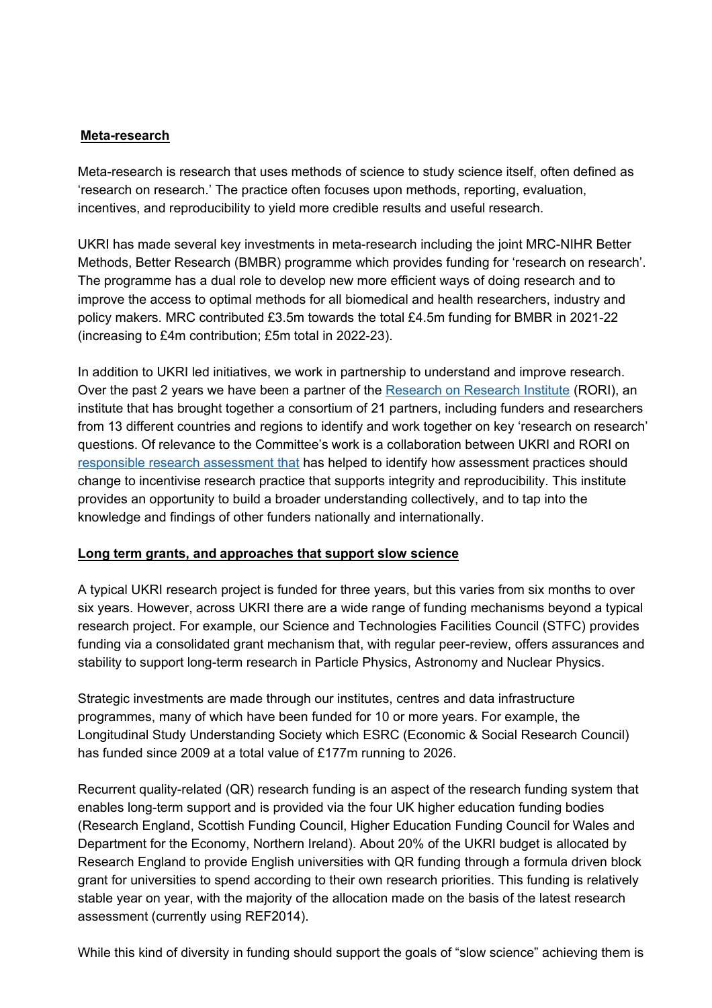## **Meta-research**

Meta-research is research that uses methods of science to study science itself, often defined as 'research on research.' The practice often focuses upon methods, reporting, evaluation, incentives, and reproducibility to yield more credible results and useful research.

UKRI has made several key investments in meta-research including the joint MRC-NIHR Better Methods, Better Research (BMBR) programme which provides funding for 'research on research'. The programme has a dual role to develop new more efficient ways of doing research and to improve the access to optimal methods for all biomedical and health researchers, industry and policy makers. MRC contributed £3.5m towards the total £4.5m funding for BMBR in 2021-22 (increasing to £4m contribution; £5m total in 2022-23).

In addition to UKRI led initiatives, we work in partnership to understand and improve research. Over the past 2 years we have been a partner of the [Research](https://researchonresearch.org/) [on](https://researchonresearch.org/) Research [Institute](https://researchonresearch.org/) [\(](https://researchonresearch.org/)RORI), an institute that has brought together a consortium of 21 partners, including funders and researchers from 13 different countries and regions to identify and work together on key 'research on research' questions. Of relevance to the Committee's work is a collaboration between UKRI and RORI on [responsible](https://rori.figshare.com/articles/report/The_changing_role_of_funders_in_responsible_research_assessment_progress_obstacles_and_the_way_ahead/13227914) [research](https://rori.figshare.com/articles/report/The_changing_role_of_funders_in_responsible_research_assessment_progress_obstacles_and_the_way_ahead/13227914) [assessment](https://rori.figshare.com/articles/report/The_changing_role_of_funders_in_responsible_research_assessment_progress_obstacles_and_the_way_ahead/13227914) [that](https://rori.figshare.com/articles/report/The_changing_role_of_funders_in_responsible_research_assessment_progress_obstacles_and_the_way_ahead/13227914) has helped to identify how assessment practices should change to incentivise research practice that supports integrity and reproducibility. This institute provides an opportunity to build a broader understanding collectively, and to tap into the knowledge and findings of other funders nationally and internationally.

## **Long term grants, and approaches that support slow science**

A typical UKRI research project is funded for three years, but this varies from six months to over six years. However, across UKRI there are a wide range of funding mechanisms beyond a typical research project. For example, our Science and Technologies Facilities Council (STFC) provides funding via a consolidated grant mechanism that, with regular peer-review, offers assurances and stability to support long-term research in Particle Physics, Astronomy and Nuclear Physics.

Strategic investments are made through our institutes, centres and data infrastructure programmes, many of which have been funded for 10 or more years. For example, the Longitudinal Study Understanding Society which ESRC (Economic & Social Research Council) has funded since 2009 at a total value of £177m running to 2026.

Recurrent quality-related (QR) research funding is an aspect of the research funding system that enables long-term support and is provided via the four UK higher education funding bodies (Research England, Scottish Funding Council, Higher Education Funding Council for Wales and Department for the Economy, Northern Ireland). About 20% of the UKRI budget is allocated by Research England to provide English universities with QR funding through a formula driven block grant for universities to spend according to their own research priorities. This funding is relatively stable year on year, with the majority of the allocation made on the basis of the latest research assessment (currently using REF2014).

While this kind of diversity in funding should support the goals of "slow science" achieving them is